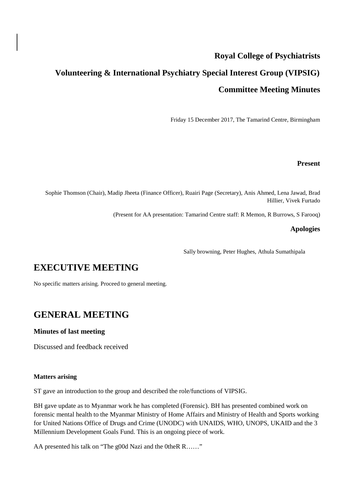## **Royal College of Psychiatrists**

# **Volunteering & International Psychiatry Special Interest Group (VIPSIG) Committee Meeting Minutes**

Friday 15 December 2017, The Tamarind Centre, Birmingham

#### **Present**

Sophie Thomson (Chair), Madip Jheeta (Finance Officer), Ruairi Page (Secretary), Anis Ahmed, Lena Jawad, Brad Hillier, Vivek Furtado

(Present for AA presentation: Tamarind Centre staff: R Memon, R Burrows, S Farooq)

#### **Apologies**

Sally browning, Peter Hughes, Athula Sumathipala

# **EXECUTIVE MEETING**

No specific matters arising. Proceed to general meeting.

### **GENERAL MEETING**

#### **Minutes of last meeting**

Discussed and feedback received

#### **Matters arising**

ST gave an introduction to the group and described the role/functions of VIPSIG.

BH gave update as to Myanmar work he has completed (Forensic). BH has presented combined work on forensic mental health to the Myanmar Ministry of Home Affairs and Ministry of Health and Sports working for United Nations Office of Drugs and Crime (UNODC) with UNAIDS, WHO, UNOPS, UKAID and the 3 Millennium Development Goals Fund. This is an ongoing piece of work.

AA presented his talk on "The g00d Nazi and the 0theR R……"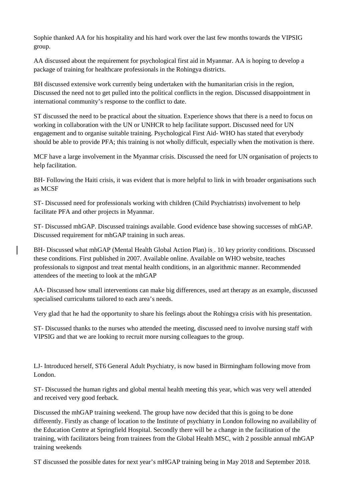Sophie thanked AA for his hospitality and his hard work over the last few months towards the VIPSIG group.

AA discussed about the requirement for psychological first aid in Myanmar. AA is hoping to develop a package of training for healthcare professionals in the Rohingya districts.

BH discussed extensive work currently being undertaken with the humanitarian crisis in the region, Discussed the need not to get pulled into the political conflicts in the region. Discussed disappointment in international community's response to the conflict to date.

ST discussed the need to be practical about the situation. Experience shows that there is a need to focus on working in collaboration with the UN or UNHCR to help facilitate support. Discussed need for UN engagement and to organise suitable training. Psychological First Aid- WHO has stated that everybody should be able to provide PFA; this training is not wholly difficult, especially when the motivation is there.

MCF have a large involvement in the Myanmar crisis. Discussed the need for UN organisation of projects to help facilitation.

BH- Following the Haiti crisis, it was evident that is more helpful to link in with broader organisations such as MCSF

ST- Discussed need for professionals working with children (Child Psychiatrists) involvement to help facilitate PFA and other projects in Myanmar.

ST- Discussed mhGAP. Discussed trainings available. Good evidence base showing successes of mhGAP. Discussed requirement for mhGAP training in such areas.

BH- Discussed what mhGAP (Mental Health Global Action Plan) is . 10 key priority conditions. Discussed these conditions. First published in 2007. Available online. Available on WHO website, teaches professionals to signpost and treat mental health conditions, in an algorithmic manner. Recommended attendees of the meeting to look at the mhGAP

AA- Discussed how small interventions can make big differences, used art therapy as an example, discussed specialised curriculums tailored to each area's needs.

Very glad that he had the opportunity to share his feelings about the Rohingya crisis with his presentation.

ST- Discussed thanks to the nurses who attended the meeting, discussed need to involve nursing staff with VIPSIG and that we are looking to recruit more nursing colleagues to the group.

LJ- Introduced herself, ST6 General Adult Psychiatry, is now based in Birmingham following move from London.

ST- Discussed the human rights and global mental health meeting this year, which was very well attended and received very good feeback.

Discussed the mhGAP training weekend. The group have now decided that this is going to be done differently. Firstly as change of location to the Institute of psychiatry in London following no availability of the Education Centre at Springfield Hospital. Secondly there will be a change in the facilitation of the training, with facilitators being from trainees from the Global Health MSC, with 2 possible annual mhGAP training weekends

ST discussed the possible dates for next year's mHGAP training being in May 2018 and September 2018.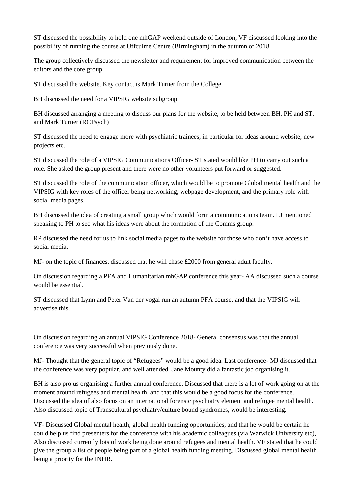ST discussed the possibility to hold one mhGAP weekend outside of London, VF discussed looking into the possibility of running the course at Uffculme Centre (Birmingham) in the autumn of 2018.

The group collectively discussed the newsletter and requirement for improved communication between the editors and the core group.

ST discussed the website. Key contact is Mark Turner from the College

BH discussed the need for a VIPSIG website subgroup

BH discussed arranging a meeting to discuss our plans for the website, to be held between BH, PH and ST, and Mark Turner (RCPsych)

ST discussed the need to engage more with psychiatric trainees, in particular for ideas around website, new projects etc.

ST discussed the role of a VIPSIG Communications Officer- ST stated would like PH to carry out such a role. She asked the group present and there were no other volunteers put forward or suggested.

ST discussed the role of the communication officer, which would be to promote Global mental health and the VIPSIG with key roles of the officer being networking, webpage development, and the primary role with social media pages.

BH discussed the idea of creating a small group which would form a communications team. LJ mentioned speaking to PH to see what his ideas were about the formation of the Comms group.

RP discussed the need for us to link social media pages to the website for those who don't have access to social media.

MJ- on the topic of finances, discussed that he will chase £2000 from general adult faculty.

On discussion regarding a PFA and Humanitarian mhGAP conference this year- AA discussed such a course would be essential.

ST discussed that Lynn and Peter Van der vogal run an autumn PFA course, and that the VIPSIG will advertise this.

On discussion regarding an annual VIPSIG Conference 2018- General consensus was that the annual conference was very successful when previously done.

MJ- Thought that the general topic of "Refugees" would be a good idea. Last conference- MJ discussed that the conference was very popular, and well attended. Jane Mounty did a fantastic job organising it.

BH is also pro us organising a further annual conference. Discussed that there is a lot of work going on at the moment around refugees and mental health, and that this would be a good focus for the conference. Discussed the idea of also focus on an international forensic psychiatry element and refugee mental health. Also discussed topic of Transcultural psychiatry/culture bound syndromes, would be interesting.

VF- Discussed Global mental health, global health funding opportunities, and that he would be certain he could help us find presenters for the conference with his academic colleagues (via Warwick University etc), Also discussed currently lots of work being done around refugees and mental health. VF stated that he could give the group a list of people being part of a global health funding meeting. Discussed global mental health being a priority for the INHR.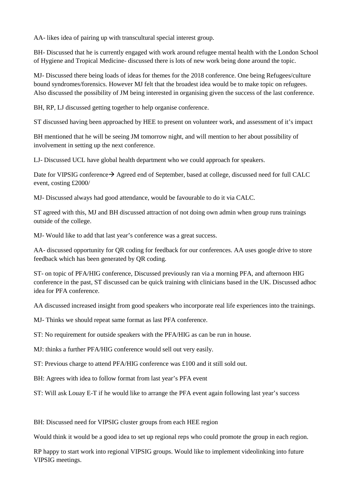AA- likes idea of pairing up with transcultural special interest group.

BH- Discussed that he is currently engaged with work around refugee mental health with the London School of Hygiene and Tropical Medicine- discussed there is lots of new work being done around the topic.

MJ- Discussed there being loads of ideas for themes for the 2018 conference. One being Refugees/culture bound syndromes/forensics. However MJ felt that the broadest idea would be to make topic on refugees. Also discussed the possibility of JM being interested in organising given the success of the last conference.

BH, RP, LJ discussed getting together to help organise conference.

ST discussed having been approached by HEE to present on volunteer work, and assessment of it's impact

BH mentioned that he will be seeing JM tomorrow night, and will mention to her about possibility of involvement in setting up the next conference.

LJ- Discussed UCL have global health department who we could approach for speakers.

Date for VIPSIG conference  $\rightarrow$  Agreed end of September, based at college, discussed need for full CALC event, costing £2000/

MJ- Discussed always had good attendance, would be favourable to do it via CALC.

ST agreed with this, MJ and BH discussed attraction of not doing own admin when group runs trainings outside of the college.

MJ- Would like to add that last year's conference was a great success.

AA- discussed opportunity for QR coding for feedback for our conferences. AA uses google drive to store feedback which has been generated by QR coding.

ST- on topic of PFA/HIG conference, Discussed previously ran via a morning PFA, and afternoon HIG conference in the past, ST discussed can be quick training with clinicians based in the UK. Discussed adhoc idea for PFA conference.

AA discussed increased insight from good speakers who incorporate real life experiences into the trainings.

MJ- Thinks we should repeat same format as last PFA conference.

ST: No requirement for outside speakers with the PFA/HIG as can be run in house.

MJ: thinks a further PFA/HIG conference would sell out very easily.

ST: Previous charge to attend PFA/HIG conference was £100 and it still sold out.

BH: Agrees with idea to follow format from last year's PFA event

ST: Will ask Louay E-T if he would like to arrange the PFA event again following last year's success

BH: Discussed need for VIPSIG cluster groups from each HEE region

Would think it would be a good idea to set up regional reps who could promote the group in each region.

RP happy to start work into regional VIPSIG groups. Would like to implement videolinking into future VIPSIG meetings.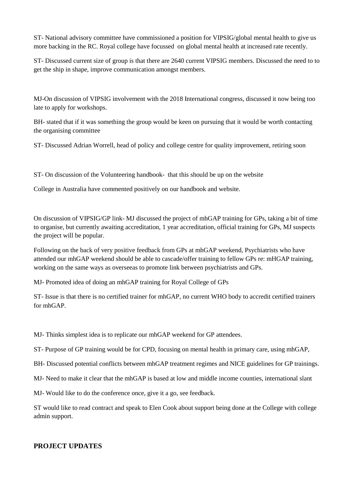ST- National advisory committee have commissioned a position for VIPSIG/global mental health to give us more backing in the RC. Royal college have focussed on global mental health at increased rate recently.

ST- Discussed current size of group is that there are 2640 current VIPSIG members. Discussed the need to to get the ship in shape, improve communication amongst members.

MJ-On discussion of VIPSIG involvement with the 2018 International congress, discussed it now being too late to apply for workshops.

BH- stated that if it was something the group would be keen on pursuing that it would be worth contacting the organising committee

ST- Discussed Adrian Worrell, head of policy and college centre for quality improvement, retiring soon

ST- On discussion of the Volunteering handbook- that this should be up on the website

College in Australia have commented positively on our handbook and website.

On discussion of VIPSIG/GP link- MJ discussed the project of mhGAP training for GPs, taking a bit of time to organise, but currently awaiting accreditation, 1 year accreditation, official training for GPs, MJ suspects the project will be popular.

Following on the back of very positive feedback from GPs at mhGAP weekend, Psychiatrists who have attended our mhGAP weekend should be able to cascade/offer training to fellow GPs re: mHGAP training, working on the same ways as overseeas to promote link between psychiatrists and GPs.

MJ- Promoted idea of doing an mhGAP training for Royal College of GPs

ST- Issue is that there is no certified trainer for mhGAP, no current WHO body to accredit certified trainers for mhGAP.

MJ- Thinks simplest idea is to replicate our mhGAP weekend for GP attendees.

ST- Purpose of GP training would be for CPD, focusing on mental health in primary care, using mhGAP,

BH- Discussed potential conflicts between mhGAP treatment regimes and NICE guidelines for GP trainings.

MJ- Need to make it clear that the mhGAP is based at low and middle income counties, international slant

MJ- Would like to do the conference once, give it a go, see feedback.

ST would like to read contract and speak to Elen Cook about support being done at the College with college admin support.

### **PROJECT UPDATES**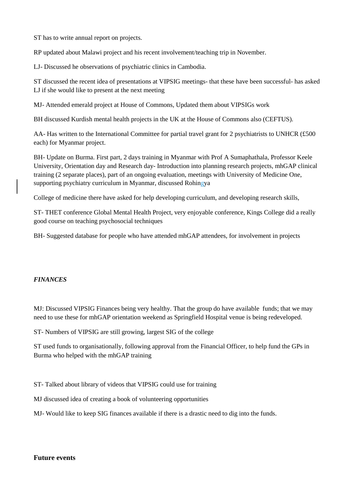ST has to write annual report on projects.

RP updated about Malawi project and his recent involvement/teaching trip in November.

LJ- Discussed he observations of psychiatric clinics in Cambodia.

ST discussed the recent idea of presentations at VIPSIG meetings- that these have been successful- has asked LJ if she would like to present at the next meeting

MJ- Attended emerald project at House of Commons, Updated them about VIPSIGs work

BH discussed Kurdish mental health projects in the UK at the House of Commons also (CEFTUS).

AA- Has written to the International Committee for partial travel grant for 2 psychiatrists to UNHCR (£500) each) for Myanmar project.

BH- Update on Burma. First part, 2 days training in Myanmar with Prof A Sumaphathala, Professor Keele University, Orientation day and Research day- Introduction into planning research projects, mhGAP clinical training (2 separate places), part of an ongoing evaluation, meetings with University of Medicine One, supporting psychiatry curriculum in Myanmar, discussed Rohingya

College of medicine there have asked for help developing curriculum, and developing research skills,

ST- THET conference Global Mental Health Project, very enjoyable conference, Kings College did a really good course on teaching psychosocial techniques

BH- Suggested database for people who have attended mhGAP attendees, for involvement in projects

### *FINANCES*

MJ: Discussed VIPSIG Finances being very healthy. That the group do have available funds; that we may need to use these for mhGAP orientation weekend as Springfield Hospital venue is being redeveloped.

ST- Numbers of VIPSIG are still growing, largest SIG of the college

ST used funds to organisationally, following approval from the Financial Officer, to help fund the GPs in Burma who helped with the mhGAP training

ST- Talked about library of videos that VIPSIG could use for training

MJ discussed idea of creating a book of volunteering opportunities

MJ- Would like to keep SIG finances available if there is a drastic need to dig into the funds.

### **Future events**